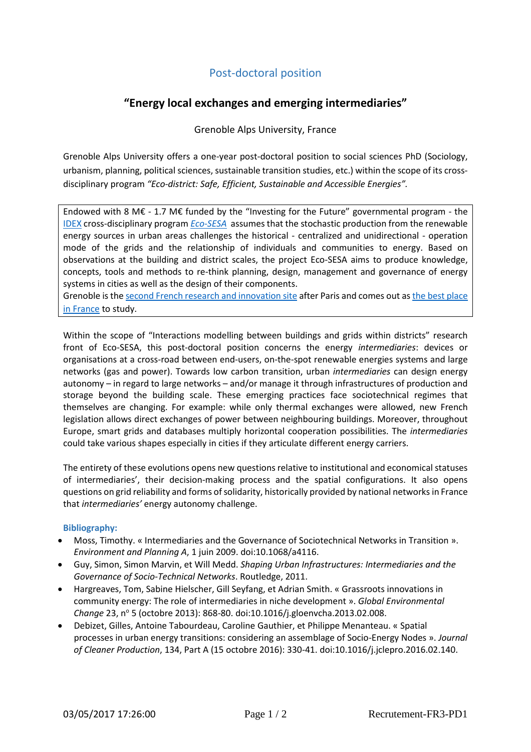# Post-doctoral position

# **"Energy local exchanges and emerging intermediaries"**

Grenoble Alps University, France

Grenoble Alps University offers a one-year post-doctoral position to social sciences PhD (Sociology, urbanism, planning, political sciences, sustainable transition studies, etc.) within the scope of its crossdisciplinary program *"Eco-district: Safe, Efficient, Sustainable and Accessible Energies".*

Endowed with 8 M€ - 1.7 M€ funded by the "Investing for the Future" governmental program - the [IDEX](http://www.communaute-univ-grenoble-alpes.fr/en/about-comue-uga/idex-project/) cross-disciplinary program *Eco-SESA* assumes that the stochastic production from the renewable energy sources in urban areas challenges the historical - centralized and unidirectional - operation mode of the grids and the relationship of individuals and communities to energy. Based on observations at the building and district scales, the project Eco-SESA aims to produce knowledge, concepts, tools and methods to re-think planning, design, management and governance of energy systems in cities as well as the design of their components.

Grenoble is th[e second French research and innovation site](http://www.communaute-univ-grenoble-alpes.fr/en/research-and-innovation/overview/) after Paris and comes out as [the best place](http://www.communaute-univ-grenoble-alpes.fr/en/campus-life/overview/)  [in France](http://www.communaute-univ-grenoble-alpes.fr/en/campus-life/overview/) to study.

Within the scope of "Interactions modelling between buildings and grids within districts" research front of Eco-SESA, this post-doctoral position concerns the energy *intermediaries*: devices or organisations at a cross-road between end-users, on-the-spot renewable energies systems and large networks (gas and power). Towards low carbon transition, urban *intermediaries* can design energy autonomy – in regard to large networks – and/or manage it through infrastructures of production and storage beyond the building scale. These emerging practices face sociotechnical regimes that themselves are changing. For example: while only thermal exchanges were allowed, new French legislation allows direct exchanges of power between neighbouring buildings. Moreover, throughout Europe, smart grids and databases multiply horizontal cooperation possibilities. The *intermediaries* could take various shapes especially in cities if they articulate different energy carriers.

The entirety of these evolutions opens new questions relative to institutional and economical statuses of intermediaries', their decision-making process and the spatial configurations. It also opens questions on grid reliability and forms of solidarity, historically provided by national networks in France that *intermediaries'* energy autonomy challenge.

# **Bibliography:**

- Moss, Timothy. « Intermediaries and the Governance of Sociotechnical Networks in Transition ». *Environment and Planning A*, 1 juin 2009. doi:10.1068/a4116.
- Guy, Simon, Simon Marvin, et Will Medd. *Shaping Urban Infrastructures: Intermediaries and the Governance of Socio-Technical Networks*. Routledge, 2011.
- Hargreaves, Tom, Sabine Hielscher, Gill Seyfang, et Adrian Smith. « Grassroots innovations in community energy: The role of intermediaries in niche development ». *Global Environmental Change* 23, nº 5 (octobre 2013): 868-80. doi:10.1016/j.gloenvcha.2013.02.008.
- Debizet, Gilles, Antoine Tabourdeau, Caroline Gauthier, et Philippe Menanteau. « Spatial processes in urban energy transitions: considering an assemblage of Socio-Energy Nodes ». *Journal of Cleaner Production*, 134, Part A (15 octobre 2016): 330-41. doi:10.1016/j.jclepro.2016.02.140.